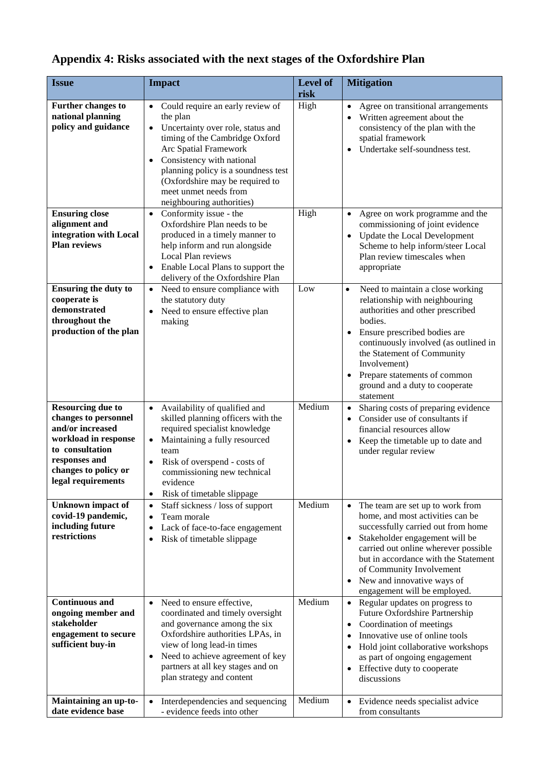## **Appendix 4: Risks associated with the next stages of the Oxfordshire Plan**

| <b>Issue</b>                                                                                                                                                                   | <b>Impact</b>                                                                                                                                                                                                                                                                                                                                    | Level of<br>risk | <b>Mitigation</b>                                                                                                                                                                                                                                                                                                                    |
|--------------------------------------------------------------------------------------------------------------------------------------------------------------------------------|--------------------------------------------------------------------------------------------------------------------------------------------------------------------------------------------------------------------------------------------------------------------------------------------------------------------------------------------------|------------------|--------------------------------------------------------------------------------------------------------------------------------------------------------------------------------------------------------------------------------------------------------------------------------------------------------------------------------------|
| <b>Further changes to</b><br>national planning<br>policy and guidance                                                                                                          | Could require an early review of<br>$\bullet$<br>the plan<br>Uncertainty over role, status and<br>$\bullet$<br>timing of the Cambridge Oxford<br>Arc Spatial Framework<br>Consistency with national<br>$\bullet$<br>planning policy is a soundness test<br>(Oxfordshire may be required to<br>meet unmet needs from<br>neighbouring authorities) | High             | Agree on transitional arrangements<br>$\bullet$<br>Written agreement about the<br>consistency of the plan with the<br>spatial framework<br>Undertake self-soundness test.                                                                                                                                                            |
| <b>Ensuring close</b><br>alignment and<br>integration with Local<br><b>Plan reviews</b>                                                                                        | Conformity issue - the<br>$\bullet$<br>Oxfordshire Plan needs to be<br>produced in a timely manner to<br>help inform and run alongside<br>Local Plan reviews<br>Enable Local Plans to support the<br>delivery of the Oxfordshire Plan                                                                                                            | High             | Agree on work programme and the<br>$\bullet$<br>commissioning of joint evidence<br>Update the Local Development<br>$\bullet$<br>Scheme to help inform/steer Local<br>Plan review timescales when<br>appropriate                                                                                                                      |
| <b>Ensuring the duty to</b><br>cooperate is<br>demonstrated<br>throughout the<br>production of the plan                                                                        | Need to ensure compliance with<br>$\bullet$<br>the statutory duty<br>Need to ensure effective plan<br>$\bullet$<br>making                                                                                                                                                                                                                        | Low              | Need to maintain a close working<br>$\bullet$<br>relationship with neighbouring<br>authorities and other prescribed<br>bodies.<br>Ensure prescribed bodies are<br>continuously involved (as outlined in<br>the Statement of Community<br>Involvement)<br>Prepare statements of common<br>ground and a duty to cooperate<br>statement |
| <b>Resourcing due to</b><br>changes to personnel<br>and/or increased<br>workload in response<br>to consultation<br>responses and<br>changes to policy or<br>legal requirements | Availability of qualified and<br>$\bullet$<br>skilled planning officers with the<br>required specialist knowledge<br>Maintaining a fully resourced<br>$\bullet$<br>team<br>Risk of overspend - costs of<br>$\bullet$<br>commissioning new technical<br>evidence<br>Risk of timetable slippage<br>$\bullet$                                       | Medium           | Sharing costs of preparing evidence<br>$\bullet$<br>Consider use of consultants if<br>financial resources allow<br>Keep the timetable up to date and<br>under regular review                                                                                                                                                         |
| <b>Unknown</b> impact of<br>covid-19 pandemic,<br>including future<br>restrictions                                                                                             | Staff sickness / loss of support<br>$\bullet$<br>Team morale<br>$\bullet$<br>Lack of face-to-face engagement<br>$\bullet$<br>Risk of timetable slippage<br>$\bullet$                                                                                                                                                                             | Medium           | The team are set up to work from<br>home, and most activities can be<br>successfully carried out from home<br>Stakeholder engagement will be<br>$\bullet$<br>carried out online wherever possible<br>but in accordance with the Statement<br>of Community Involvement<br>New and innovative ways of<br>engagement will be employed.  |
| <b>Continuous and</b><br>ongoing member and<br>stakeholder<br>engagement to secure<br>sufficient buy-in                                                                        | Need to ensure effective,<br>$\bullet$<br>coordinated and timely oversight<br>and governance among the six<br>Oxfordshire authorities LPAs, in<br>view of long lead-in times<br>Need to achieve agreement of key<br>$\bullet$<br>partners at all key stages and on<br>plan strategy and content                                                  | Medium           | Regular updates on progress to<br>Future Oxfordshire Partnership<br>Coordination of meetings<br>٠<br>Innovative use of online tools<br>Hold joint collaborative workshops<br>as part of ongoing engagement<br>Effective duty to cooperate<br>$\bullet$<br>discussions                                                                |
| Maintaining an up-to-<br>date evidence base                                                                                                                                    | Interdependencies and sequencing<br>$\bullet$<br>- evidence feeds into other                                                                                                                                                                                                                                                                     | Medium           | Evidence needs specialist advice<br>$\bullet$<br>from consultants                                                                                                                                                                                                                                                                    |